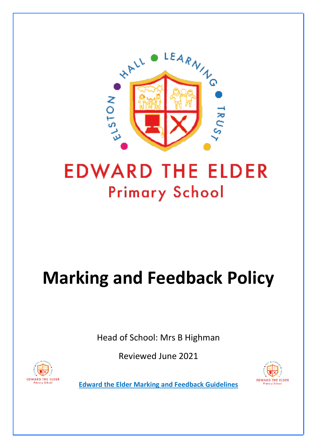

## **EDWARD THE ELDER Primary School**

## **Marking and Feedback Policy**

Head of School: Mrs B Highman

Reviewed June 2021





**Edward the Elder Marking and Feedback Guidelines**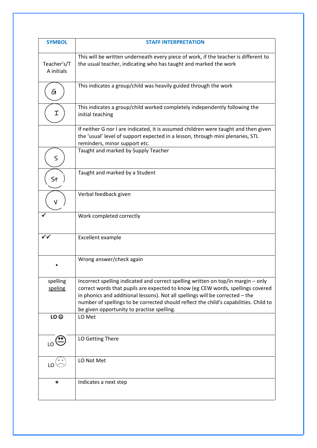| <b>SYMBOL</b>             | <b>STAFF INTERPRETATION</b>                                                                                                                                                                                                                                                                                                                                                                  |
|---------------------------|----------------------------------------------------------------------------------------------------------------------------------------------------------------------------------------------------------------------------------------------------------------------------------------------------------------------------------------------------------------------------------------------|
| Teacher's/T<br>A initials | This will be written underneath every piece of work, if the teacher is different to<br>the usual teacher, indicating who has taught and marked the work                                                                                                                                                                                                                                      |
| G                         | This indicates a group/child was heavily guided through the work                                                                                                                                                                                                                                                                                                                             |
| Ι                         | This indicates a group/child worked completely independently following the<br>initial teaching                                                                                                                                                                                                                                                                                               |
|                           | If neither G nor I are indicated, it is assumed children were taught and then given<br>the 'usual' level of support expected in a lesson, through mini plenaries, STL<br>reminders, minor support etc.                                                                                                                                                                                       |
| $\leq$                    | Taught and marked by Supply Teacher                                                                                                                                                                                                                                                                                                                                                          |
| St                        | Taught and marked by a Student                                                                                                                                                                                                                                                                                                                                                               |
| V                         | Verbal feedback given                                                                                                                                                                                                                                                                                                                                                                        |
|                           | Work completed correctly                                                                                                                                                                                                                                                                                                                                                                     |
|                           | Excellent example                                                                                                                                                                                                                                                                                                                                                                            |
|                           | Wrong answer/check again                                                                                                                                                                                                                                                                                                                                                                     |
| spelling<br>speling       | Incorrect spelling indicated and correct spelling written on top/in margin - only<br>correct words that pupils are expected to know (eg CEW words, spellings covered<br>in phonics and additional lessons). Not all spellings will be corrected - the<br>number of spellings to be corrected should reflect the child's capabilities. Child to<br>be given opportunity to practise spelling. |
| LO <sup>©</sup>           | LO Met                                                                                                                                                                                                                                                                                                                                                                                       |
| LO <sup>N</sup>           | LO Getting There                                                                                                                                                                                                                                                                                                                                                                             |
|                           | LO Not Met                                                                                                                                                                                                                                                                                                                                                                                   |
| *                         | Indicates a next step                                                                                                                                                                                                                                                                                                                                                                        |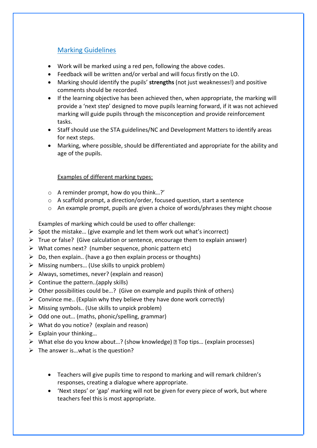## Marking Guidelines

- Work will be marked using a red pen, following the above codes.
- Feedback will be written and/or verbal and will focus firstly on the LO.
- Marking should identify the pupils' **strengths** (not just weaknesses!) and positive comments should be recorded.
- If the learning objective has been achieved then, when appropriate, the marking will provide a 'next step' designed to move pupils learning forward, if it was not achieved marking will guide pupils through the misconception and provide reinforcement tasks.
- Staff should use the STA guidelines/NC and Development Matters to identify areas for next steps.
- Marking, where possible, should be differentiated and appropriate for the ability and age of the pupils.

## Examples of different marking types:

- o A reminder prompt, how do you think…?'
- o A scaffold prompt, a direction/order, focused question, start a sentence
- o An example prompt, pupils are given a choice of words/phrases they might choose

Examples of marking which could be used to offer challenge:

- $\triangleright$  Spot the mistake... (give example and let them work out what's incorrect)
- $\triangleright$  True or false? (Give calculation or sentence, encourage them to explain answer)
- $\triangleright$  What comes next? (number sequence, phonic pattern etc)
- $\triangleright$  Do, then explain.. (have a go then explain process or thoughts)
- $\triangleright$  Missing numbers... (Use skills to unpick problem)
- $\triangleright$  Always, sometimes, never? (explain and reason)
- $\triangleright$  Continue the pattern..(apply skills)
- $\triangleright$  Other possibilities could be...? (Give on example and pupils think of others)
- $\triangleright$  Convince me.. (Explain why they believe they have done work correctly)
- $\triangleright$  Missing symbols.. (Use skills to unpick problem)
- $\triangleright$  Odd one out... (maths, phonic/spelling, grammar)
- $\triangleright$  What do you notice? (explain and reason)
- $\triangleright$  Explain your thinking...
- $\triangleright$  What else do you know about...? (show knowledge) **Top tips...** (explain processes)
- $\triangleright$  The answer is... what is the question?
	- Teachers will give pupils time to respond to marking and will remark children's responses, creating a dialogue where appropriate.
	- 'Next steps' or 'gap' marking will not be given for every piece of work, but where teachers feel this is most appropriate.